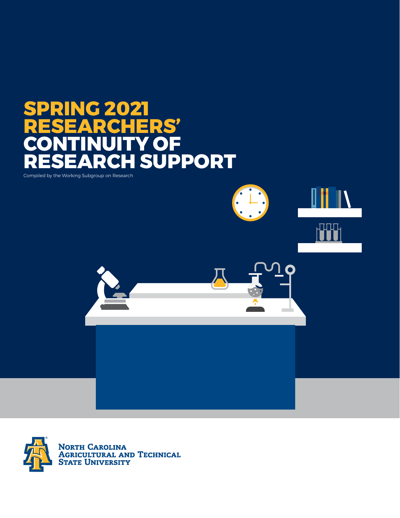# **SPRING 2021 HERS'<br>TY OF CONTINUITY OF RESEARCH SUPPORT**

Compiled by the Working Subgroup on Research



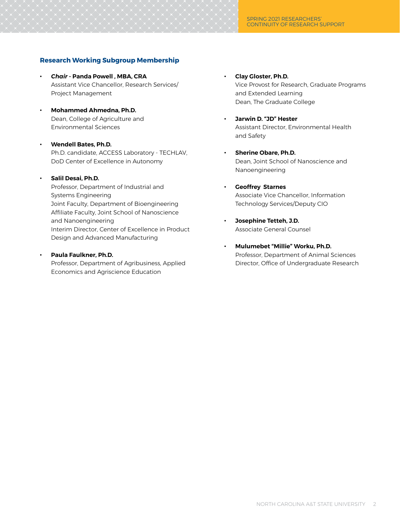# **Research Working Subgroup Membership**

- **•** *Chair* **Panda Powell , MBA, CRA** Assistant Vice Chancellor, Research Services/ Project Management
- **• Mohammed Ahmedna, Ph.D.**  Dean, College of Agriculture and Environmental Sciences
- **• Wendell Bates, Ph.D.** Ph.D. candidate, ACCESS Laboratory - TECHLAV, DoD Center of Excellence in Autonomy

# **• Salil Desai, Ph.D.**

Professor, Department of Industrial and Systems Engineering Joint Faculty, Department of Bioengineering Affiliate Faculty, Joint School of Nanoscience and Nanoengineering Interim Director, Center of Excellence in Product Design and Advanced Manufacturing

#### **• Paula Faulkner, Ph.D.**

Professor, Department of Agribusiness, Applied Economics and Agriscience Education

- **• Clay Gloster, Ph.D.** Vice Provost for Research, Graduate Programs and Extended Learning Dean, The Graduate College
- **• Jarwin D. "JD" Hester** Assistant Director, Environmental Health and Safety
- **• Sherine Obare, Ph.D.**  Dean, Joint School of Nanoscience and Nanoengineering
- **• Geoffrey Starnes** Associate Vice Chancellor, Information Technology Services/Deputy CIO
- **• Josephine Tetteh, J.D.** Associate General Counsel
- **• Mulumebet "Millie" Worku, Ph.D.** Professor, Department of Animal Sciences Director, Office of Undergraduate Research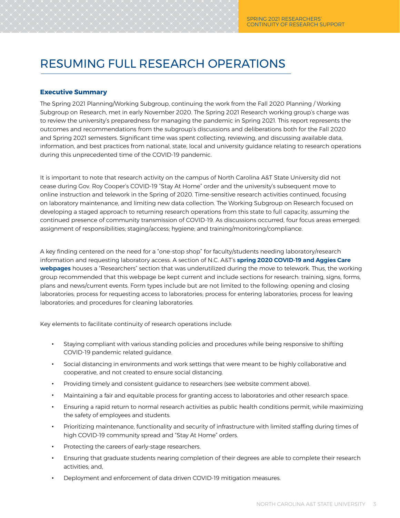# RESUMING FULL RESEARCH OPERATIONS

# **Executive Summary**

The Spring 2021 Planning/Working Subgroup, continuing the work from the Fall 2020 Planning / Working Subgroup on Research, met in early November 2020. The Spring 2021 Research working group's charge was to review the university's preparedness for managing the pandemic in Spring 2021. This report represents the outcomes and recommendations from the subgroup's discussions and deliberations both for the Fall 2020 and Spring 2021 semesters. Significant time was spent collecting, reviewing, and discussing available data, information, and best practices from national, state, local and university guidance relating to research operations during this unprecedented time of the COVID-19 pandemic.

It is important to note that research activity on the campus of North Carolina A&T State University did not cease during Gov. Roy Cooper's COVID-19 "Stay At Home" order and the university's subsequent move to online instruction and telework in the Spring of 2020. Time-sensitive research activities continued, focusing on laboratory maintenance, and limiting new data collection. The Working Subgroup on Research focused on developing a staged approach to returning research operations from this state to full capacity, assuming the continued presence of community transmission of COVID-19. As discussions occurred, four focus areas emerged: assignment of responsibilities; staging/access; hygiene; and training/monitoring/compliance.

A key finding centered on the need for a "one-stop shop" for faculty/students needing laboratory/research information and requesting laboratory access. A section of N.C. A&T's **spring 2020 COVID-19 and Aggies Care webpages** houses a "Researchers" section that was underutilized during the move to telework. Thus, the working group recommended that this webpage be kept current and include sections for research: training, signs, forms, plans and news/current events. Form types include but are not limited to the following: opening and closing laboratories; process for requesting access to laboratories; process for entering laboratories; process for leaving laboratories; and procedures for cleaning laboratories.

Key elements to facilitate continuity of research operations include:

- **•** Staying compliant with various standing policies and procedures while being responsive to shifting COVID-19 pandemic related guidance.
- **•** Social distancing in environments and work settings that were meant to be highly collaborative and cooperative, and not created to ensure social distancing.
- **•** Providing timely and consistent guidance to researchers (see website comment above).
- **•** Maintaining a fair and equitable process for granting access to laboratories and other research space.
- **•** Ensuring a rapid return to normal research activities as public health conditions permit, while maximizing the safety of employees and students.
- **•** Prioritizing maintenance, functionality and security of infrastructure with limited staffing during times of high COVID-19 community spread and "Stay At Home" orders.
- **•** Protecting the careers of early-stage researchers.
- **•** Ensuring that graduate students nearing completion of their degrees are able to complete their research activities; and,
- **•** Deployment and enforcement of data driven COVID-19 mitigation measures.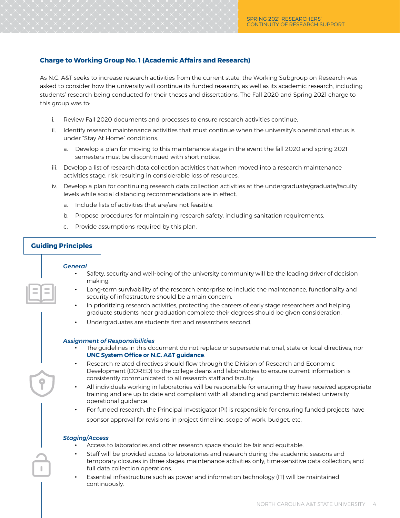# **Charge to Working Group No. 1 (Academic Affairs and Research)**

As N.C. A&T seeks to increase research activities from the current state, the Working Subgroup on Research was asked to consider how the university will continue its funded research, as well as its academic research, including students' research being conducted for their theses and dissertations. The Fall 2020 and Spring 2021 charge to this group was to:

- i. Review Fall 2020 documents and processes to ensure research activities continue.
- ii. Identify research maintenance activities that must continue when the university's operational status is under "Stay At Home" conditions.
	- a. Develop a plan for moving to this maintenance stage in the event the fall 2020 and spring 2021 semesters must be discontinued with short notice.
- iii. Develop a list of research data collection activities that when moved into a research maintenance activities stage, risk resulting in considerable loss of resources.
- iv. Develop a plan for continuing research data collection activities at the undergraduate/graduate/faculty levels while social distancing recommendations are in effect.
	- a. Include lists of activities that are/are not feasible.
	- b. Propose procedures for maintaining research safety, including sanitation requirements.
	- c. Provide assumptions required by this plan.

# **Guiding Principles**

#### *General*

- **•** Safety, security and well-being of the university community will be the leading driver of decision making.
- **•** Long-term survivability of the research enterprise to include the maintenance, functionality and security of infrastructure should be a main concern.
- **•** In prioritizing research activities, protecting the careers of early stage researchers and helping graduate students near graduation complete their degrees should be given consideration.
- **•** Undergraduates are students first and researchers second.

#### *Assignment of Responsibilities*

- **•** The guidelines in this document do not replace or supersede national, state or local directives, nor **UNC System Office or N.C. A&T guidance**.
- **•** Research related directives should flow through the Division of Research and Economic Development (DORED) to the college deans and laboratories to ensure current information is consistently communicated to all research staff and faculty.
- **•** All individuals working in laboratories will be responsible for ensuring they have received appropriate training and are up to date and compliant with all standing and pandemic related university operational guidance.
- **•** For funded research, the Principal Investigator (PI) is responsible for ensuring funded projects have sponsor approval for revisions in project timeline, scope of work, budget, etc.

# *Staging/Access*

- **•** Access to laboratories and other research space should be fair and equitable.
- **•** Staff will be provided access to laboratories and research during the academic seasons and temporary closures in three stages: maintenance activities only; time-sensitive data collection; and full data collection operations.
- **•** Essential infrastructure such as power and information technology (IT) will be maintained continuously.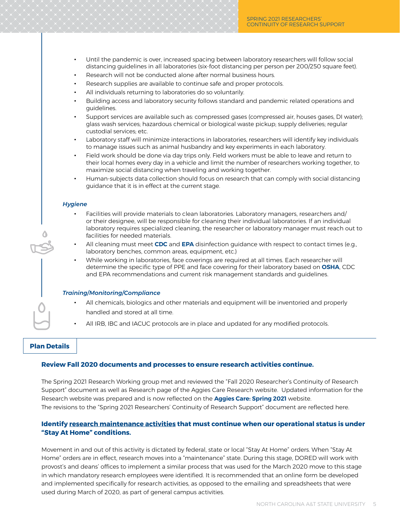- **•** Until the pandemic is over, increased spacing between laboratory researchers will follow social distancing guidelines in all laboratories (six-foot distancing per person per 200/250 square feet).
- **•** Research will not be conducted alone after normal business hours.
- **•** Research supplies are available to continue safe and proper protocols.
- **•** All individuals returning to laboratories do so voluntarily.
- **•** Building access and laboratory security follows standard and pandemic related operations and guidelines.
- **•** Support services are available such as: compressed gases (compressed air, houses gases, DI water); glass wash services; hazardous chemical or biological waste pickup; supply deliveries; regular custodial services; etc.
- **•** Laboratory staff will minimize interactions in laboratories, researchers will identify key individuals to manage issues such as animal husbandry and key experiments in each laboratory.
- **•** Field work should be done via day trips only. Field workers must be able to leave and return to their local homes every day in a vehicle and limit the number of researchers working together, to maximize social distancing when traveling and working together.
- **•** Human-subjects data collection should focus on research that can comply with social distancing guidance that it is in effect at the current stage.

#### *Hygiene*

- **•** Facilities will provide materials to clean laboratories. Laboratory managers, researchers and/ or their designee, will be responsible for cleaning their individual laboratories. If an individual laboratory requires specialized cleaning, the researcher or laboratory manager must reach out to facilities for needed materials.
- **•** All cleaning must meet **CDC** and **EPA** disinfection guidance with respect to contact times (e.g., laboratory benches, common areas, equipment, etc.)
- **•** While working in laboratories, face coverings are required at all times. Each researcher will determine the specific type of PPE and face covering for their laboratory based on **OSHA**, CDC and EPA recommendations and current risk management standards and guidelines.

#### *Training/Monitoring/Compliance*

- **•** All chemicals, biologics and other materials and equipment will be inventoried and properly handled and stored at all time.
- **•** All IRB, IBC and IACUC protocols are in place and updated for any modified protocols.

# **Plan Details**

# **Review Fall 2020 documents and processes to ensure research activities continue.**

The Spring 2021 Research Working group met and reviewed the "Fall 2020 Researcher's Continuity of Research Support" document as well as Research page of the Aggies Care Research website. Updated information for the Research website was prepared and is now reflected on the **Aggies Care: Spring 2021** website. The revisions to the "Spring 2021 Researchers' Continuity of Research Support" document are reflected here.

# **Identify research maintenance activities that must continue when our operational status is under "Stay At Home" conditions.**

Movement in and out of this activity is dictated by federal, state or local "Stay At Home" orders. When "Stay At Home" orders are in effect, research moves into a "maintenance" state. During this stage, DORED will work with provost's and deans' offices to implement a similar process that was used for the March 2020 move to this stage in which mandatory research employees were identified. It is recommended that an online form be developed and implemented specifically for research activities, as opposed to the emailing and spreadsheets that were used during March of 2020, as part of general campus activities.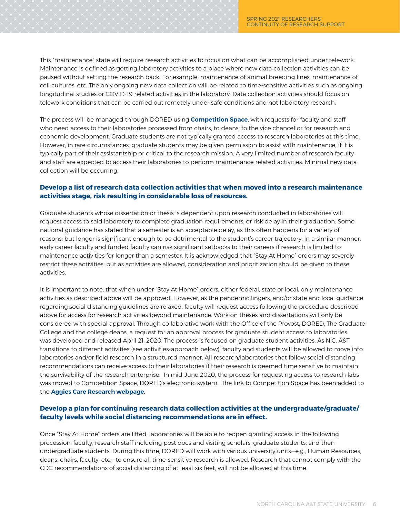This "maintenance" state will require research activities to focus on what can be accomplished under telework. Maintenance is defined as getting laboratory activities to a place where new data collection activities can be paused without setting the research back. For example, maintenance of animal breeding lines, maintenance of cell cultures, etc. The only ongoing new data collection will be related to time-sensitive activities such as ongoing longitudinal studies or COVID-19 related activities in the laboratory. Data collection activities should focus on telework conditions that can be carried out remotely under safe conditions and not laboratory research.

The process will be managed through DORED using **Competition Space**, with requests for faculty and staff who need access to their laboratories processed from chairs, to deans, to the vice chancellor for research and economic development. Graduate students are not typically granted access to research laboratories at this time. However, in rare circumstances, graduate students may be given permission to assist with maintenance, if it is typically part of their assistantship or critical to the research mission. A very limited number of research faculty and staff are expected to access their laboratories to perform maintenance related activities. Minimal new data collection will be occurring.

# **Develop a list of research data collection activities that when moved into a research maintenance activities stage, risk resulting in considerable loss of resources.**

Graduate students whose dissertation or thesis is dependent upon research conducted in laboratories will request access to said laboratory to complete graduation requirements, or risk delay in their graduation. Some national guidance has stated that a semester is an acceptable delay, as this often happens for a variety of reasons, but longer is significant enough to be detrimental to the student's career trajectory. In a similar manner, early career faculty and funded faculty can risk significant setbacks to their careers if research is limited to maintenance activities for longer than a semester. It is acknowledged that "Stay At Home" orders may severely restrict these activities, but as activities are allowed, consideration and prioritization should be given to these activities.

It is important to note, that when under "Stay At Home" orders, either federal, state or local, only maintenance activities as described above will be approved. However, as the pandemic lingers, and/or state and local guidance regarding social distancing guidelines are relaxed, faculty will request access following the procedure described above for access for research activities beyond maintenance. Work on theses and dissertations will only be considered with special approval. Through collaborative work with the Office of the Provost, DORED, The Graduate College and the college deans, a request for an approval process for graduate student access to laboratories was developed and released April 21, 2020. The process is focused on graduate student activities. As N.C. A&T transitions to different activities (see activities-approach below), faculty and students will be allowed to move into laboratories and/or field research in a structured manner. All research/laboratories that follow social distancing recommendations can receive access to their laboratories if their research is deemed time sensitive to maintain the survivability of the research enterprise. In mid-June 2020, the process for requesting access to research labs was moved to Competition Space, DORED's electronic system. The link to Competition Space has been added to the **Aggies Care Research webpage**.

# **Develop a plan for continuing research data collection activities at the undergraduate/graduate/ faculty levels while social distancing recommendations are in effect.**

Once "Stay At Home" orders are lifted, laboratories will be able to reopen granting access in the following procession: faculty; research staff including post docs and visiting scholars; graduate students; and then undergraduate students. During this time, DORED will work with various university units—e.g., Human Resources, deans, chairs, faculty, etc.—to ensure all time-sensitive research is allowed. Research that cannot comply with the CDC recommendations of social distancing of at least six feet, will not be allowed at this time.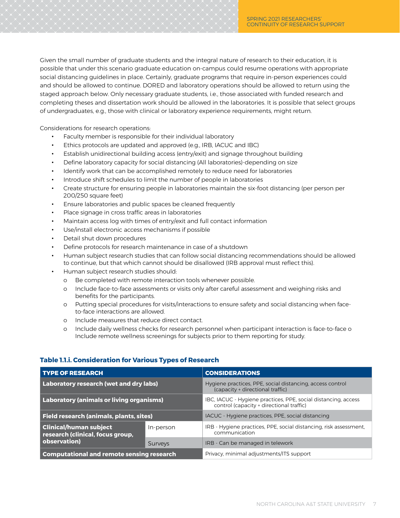Given the small number of graduate students and the integral nature of research to their education, it is possible that under this scenario graduate education on-campus could resume operations with appropriate social distancing guidelines in place. Certainly, graduate programs that require in-person experiences could and should be allowed to continue. DORED and laboratory operations should be allowed to return using the staged approach below. Only necessary graduate students, i.e., those associated with funded research and completing theses and dissertation work should be allowed in the laboratories. It is possible that select groups of undergraduates, e.g., those with clinical or laboratory experience requirements, might return.

Considerations for research operations:

- **•** Faculty member is responsible for their individual laboratory
- **•** Ethics protocols are updated and approved (e.g., IRB, IACUC and IBC)
- **•** Establish unidirectional building access (entry/exit) and signage throughout building
- **•** Define laboratory capacity for social distancing (All laboratories)-depending on size
- **•** Identify work that can be accomplished remotely to reduce need for laboratories
- **•** Introduce shift schedules to limit the number of people in laboratories
- **•** Create structure for ensuring people in laboratories maintain the six-foot distancing (per person per 200/250 square feet)
- **•** Ensure laboratories and public spaces be cleaned frequently
- **•** Place signage in cross traffic areas in laboratories
- **•** Maintain access log with times of entry/exit and full contact information
- **•** Use/install electronic access mechanisms if possible
- **•** Detail shut down procedures
- **•** Define protocols for research maintenance in case of a shutdown
- **•** Human subject research studies that can follow social distancing recommendations should be allowed to continue, but that which cannot should be disallowed (IRB approval must reflect this).
- **•** Human subject research studies should:
	- o Be completed with remote interaction tools whenever possible.
	- o Include face-to-face assessments or visits only after careful assessment and weighing risks and benefits for the participants.
	- o Putting special procedures for visits/interactions to ensure safety and social distancing when faceto-face interactions are allowed.
	- o Include measures that reduce direct contact.
	- o Include daily wellness checks for research personnel when participant interaction is face-to-face o Include remote wellness screenings for subjects prior to them reporting for study.

# **Table 1.1.i. Consideration for Various Types of Research**

| <b>TYPE OF RESEARCH</b>                                                           |                | <b>CONSIDERATIONS</b>                                                                                      |
|-----------------------------------------------------------------------------------|----------------|------------------------------------------------------------------------------------------------------------|
| Laboratory research (wet and dry labs)                                            |                | Hygiene practices, PPE, social distancing, access control<br>(capacity + directional traffic)              |
| <b>Laboratory (animals or living organisms)</b>                                   |                | IBC, IACUC - Hygiene practices, PPE, social distancing, access<br>control (capacity + directional traffic) |
| <b>Field research (animals, plants, sites)</b>                                    |                | IACUC - Hygiene practices, PPE, social distancing                                                          |
| <b>Clinical/human subject</b><br>research (clinical, focus group,<br>observation) | In-person      | IRB - Hygiene practices, PPE, social distancing, risk assessment,<br>communication                         |
|                                                                                   | <b>Surveys</b> | IRB - Can be managed in telework                                                                           |
| <b>Computational and remote sensing research</b>                                  |                | Privacy, minimal adjustments/ITS support                                                                   |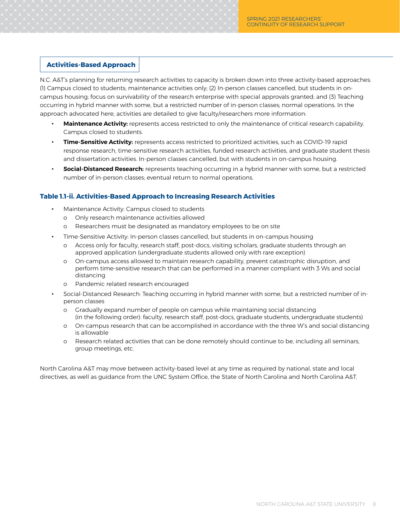# **Activities-Based Approach**

N.C. A&T's planning for returning research activities to capacity is broken down into three activity-based approaches: (1) Campus closed to students; maintenance activities only; (2) In-person classes cancelled, but students in oncampus housing; focus on survivability of the research enterprise with special approvals granted; and (3) Teaching occurring in hybrid manner with some, but a restricted number of in-person classes; normal operations. In the approach advocated here, activities are detailed to give faculty/researchers more information:

- **• Maintenance Activity:** represents access restricted to only the maintenance of critical research capability. Campus closed to students.
- **• Time-Sensitive Activity:** represents access restricted to prioritized activities, such as COVID-19 rapid response research, time-sensitive research activities, funded research activities, and graduate student thesis and dissertation activities. In-person classes cancelled, but with students in on-campus housing.
- **• Social-Distanced Research:** represents teaching occurring in a hybrid manner with some, but a restricted number of in-person classes; eventual return to normal operations.

# **Table 1.1-ii. Activities-Based Approach to Increasing Research Activities**

- **•** Maintenance Activity: Campus closed to students
	- o Only research maintenance activities allowed
	- o Researchers must be designated as mandatory employees to be on site
- **•** Time-Sensitive Activity: In-person classes cancelled, but students in on-campus housing
	- o Access only for faculty, research staff, post-docs, visiting scholars, graduate students through an approved application (undergraduate students allowed only with rare exception)
	- o On-campus access allowed to maintain research capability, prevent catastrophic disruption, and perform time-sensitive research that can be performed in a manner compliant with 3 Ws and social distancing
	- o Pandemic related research encouraged
- **•** Social-Distanced Research: Teaching occurring in hybrid manner with some, but a restricted number of inperson classes
	- o Gradually expand number of people on campus while maintaining social distancing (in the following order): faculty, research staff, post-docs, graduate students, undergraduate students)
	- o On-campus research that can be accomplished in accordance with the three W's and social distancing is allowable
	- o Research related activities that can be done remotely should continue to be, including all seminars, group meetings, etc.

North Carolina A&T may move between activity-based level at any time as required by national, state and local directives, as well as guidance from the UNC System Office, the State of North Carolina and North Carolina A&T.